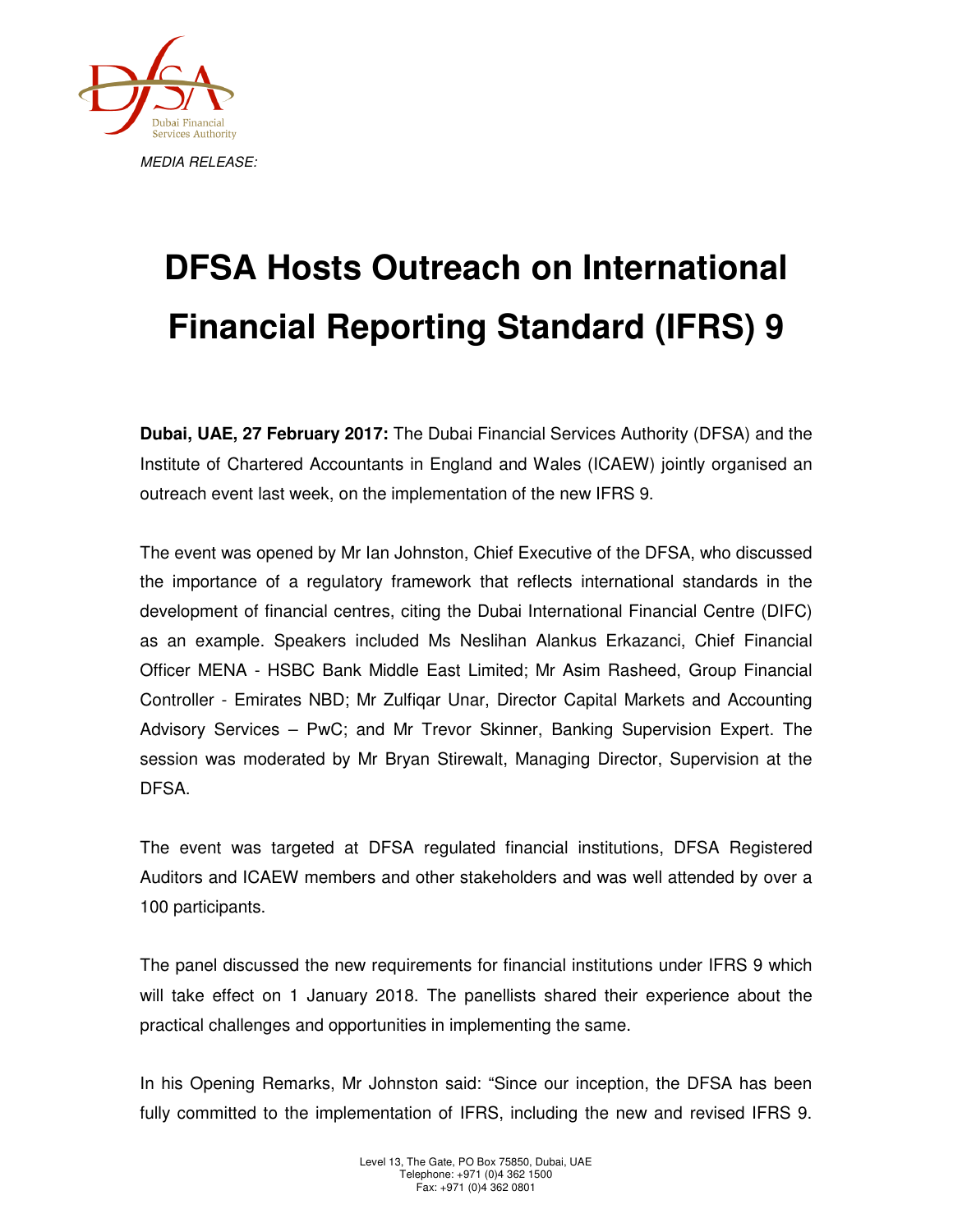

## **DFSA Hosts Outreach on International Financial Reporting Standard (IFRS) 9**

**Dubai, UAE, 27 February 2017:** The Dubai Financial Services Authority (DFSA) and the Institute of Chartered Accountants in England and Wales (ICAEW) jointly organised an outreach event last week, on the implementation of the new IFRS 9.

The event was opened by Mr Ian Johnston, Chief Executive of the DFSA, who discussed the importance of a regulatory framework that reflects international standards in the development of financial centres, citing the Dubai International Financial Centre (DIFC) as an example. Speakers included Ms Neslihan Alankus Erkazanci, Chief Financial Officer MENA - HSBC Bank Middle East Limited; Mr Asim Rasheed, Group Financial Controller - Emirates NBD; Mr Zulfiqar Unar, Director Capital Markets and Accounting Advisory Services – PwC; and Mr Trevor Skinner, Banking Supervision Expert. The session was moderated by Mr Bryan Stirewalt, Managing Director, Supervision at the DFSA.

The event was targeted at DFSA regulated financial institutions, DFSA Registered Auditors and ICAEW members and other stakeholders and was well attended by over a 100 participants.

The panel discussed the new requirements for financial institutions under IFRS 9 which will take effect on 1 January 2018. The panellists shared their experience about the practical challenges and opportunities in implementing the same.

In his Opening Remarks, Mr Johnston said: "Since our inception, the DFSA has been fully committed to the implementation of IFRS, including the new and revised IFRS 9.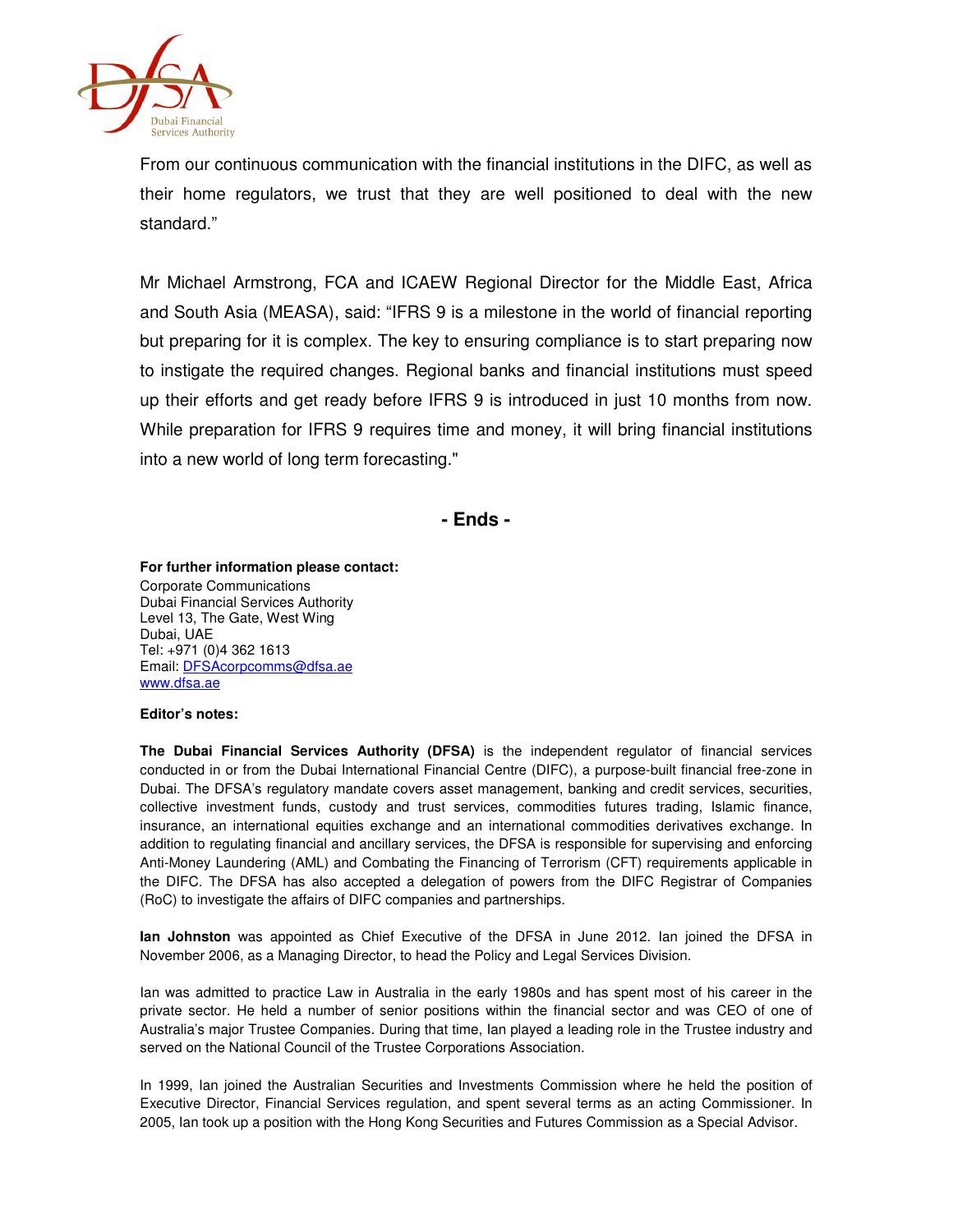

From our continuous communication with the financial institutions in the DIFC, as well as their home regulators, we trust that they are well positioned to deal with the new standard."

Mr Michael Armstrong, FCA and ICAEW Regional Director for the Middle East, Africa and South Asia (MEASA), said: "IFRS 9 is a milestone in the world of financial reporting but preparing for it is complex. The key to ensuring compliance is to start preparing now to instigate the required changes. Regional banks and financial institutions must speed up their efforts and get ready before IFRS 9 is introduced in just 10 months from now. While preparation for IFRS 9 requires time and money, it will bring financial institutions into a new world of long term forecasting."

**- Ends -**

## **For further information please contact:**

Corporate Communications Dubai Financial Services Authority Level 13, The Gate, West Wing Dubai, UAE Tel: +971 (0)4 362 1613 Email: DFSAcorpcomms@dfsa.ae www.dfsa.ae

## **Editor's notes:**

**The Dubai Financial Services Authority (DFSA)** is the independent regulator of financial services conducted in or from the Dubai International Financial Centre (DIFC), a purpose-built financial free-zone in Dubai. The DFSA's regulatory mandate covers asset management, banking and credit services, securities, collective investment funds, custody and trust services, commodities futures trading, Islamic finance, insurance, an international equities exchange and an international commodities derivatives exchange. In addition to regulating financial and ancillary services, the DFSA is responsible for supervising and enforcing Anti-Money Laundering (AML) and Combating the Financing of Terrorism (CFT) requirements applicable in the DIFC. The DFSA has also accepted a delegation of powers from the DIFC Registrar of Companies (RoC) to investigate the affairs of DIFC companies and partnerships.

**Ian Johnston** was appointed as Chief Executive of the DFSA in June 2012. Ian joined the DFSA in November 2006, as a Managing Director, to head the Policy and Legal Services Division.

Ian was admitted to practice Law in Australia in the early 1980s and has spent most of his career in the private sector. He held a number of senior positions within the financial sector and was CEO of one of Australia's major Trustee Companies. During that time, Ian played a leading role in the Trustee industry and served on the National Council of the Trustee Corporations Association.

In 1999, Ian joined the Australian Securities and Investments Commission where he held the position of Executive Director, Financial Services regulation, and spent several terms as an acting Commissioner. In 2005, Ian took up a position with the Hong Kong Securities and Futures Commission as a Special Advisor.